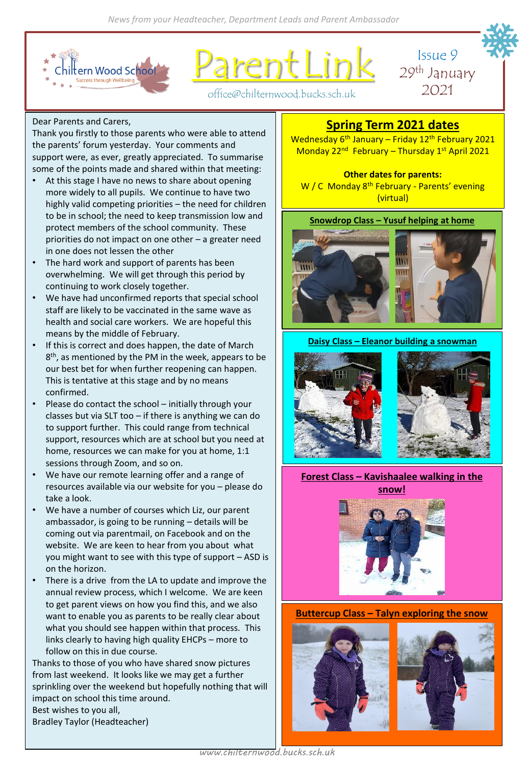

rent Lin



office@chilternwood.bucks.sch.uk

## Dear Parents and Carers,

Thank you firstly to those parents who were able to attend the parents' forum yesterday. Your comments and support were, as ever, greatly appreciated. To summarise some of the points made and shared within that meeting:

- At this stage I have no news to share about opening more widely to all pupils. We continue to have two highly valid competing priorities – the need for children to be in school; the need to keep transmission low and protect members of the school community. These priorities do not impact on one other – a greater need in one does not lessen the other
- The hard work and support of parents has been overwhelming. We will get through this period by continuing to work closely together.
- We have had unconfirmed reports that special school staff are likely to be vaccinated in the same wave as health and social care workers. We are hopeful this means by the middle of February.
- If this is correct and does happen, the date of March 8<sup>th</sup>, as mentioned by the PM in the week, appears to be our best bet for when further reopening can happen. This is tentative at this stage and by no means confirmed.
- Please do contact the school initially through your classes but via SLT too – if there is anything we can do to support further. This could range from technical support, resources which are at school but you need at home, resources we can make for you at home, 1:1 sessions through Zoom, and so on.
- We have our remote learning offer and a range of resources available via our website for you – please do take a look.
- We have a number of courses which Liz, our parent ambassador, is going to be running – details will be coming out via parentmail, on Facebook and on the website. We are keen to hear from you about what you might want to see with this type of support – ASD is on the horizon.
- There is a drive from the LA to update and improve the annual review process, which I welcome. We are keen to get parent views on how you find this, and we also want to enable you as parents to be really clear about what you should see happen within that process. This links clearly to having high quality EHCPs – more to follow on this in due course.

Thanks to those of you who have shared snow pictures from last weekend. It looks like we may get a further sprinkling over the weekend but hopefully nothing that will impact on school this time around. Best wishes to you all, Bradley Taylor (Headteacher)

# **Spring Term 2021 dates**

Wednesday 6<sup>th</sup> January – Friday 12<sup>th</sup> February 2021 Monday 22<sup>nd</sup> February – Thursday 1<sup>st</sup> April 2021

**Other dates for parents:** W / C Monday 8<sup>th</sup> February - Parents' evening (virtual)

# **Snowdrop Class – Yusuf helping at home**



#### **Daisy Class – Eleanor building a snowman**



**Forest Class – Kavishaalee walking in the snow!** 



**Buttercup Class – Talyn exploring the snow**